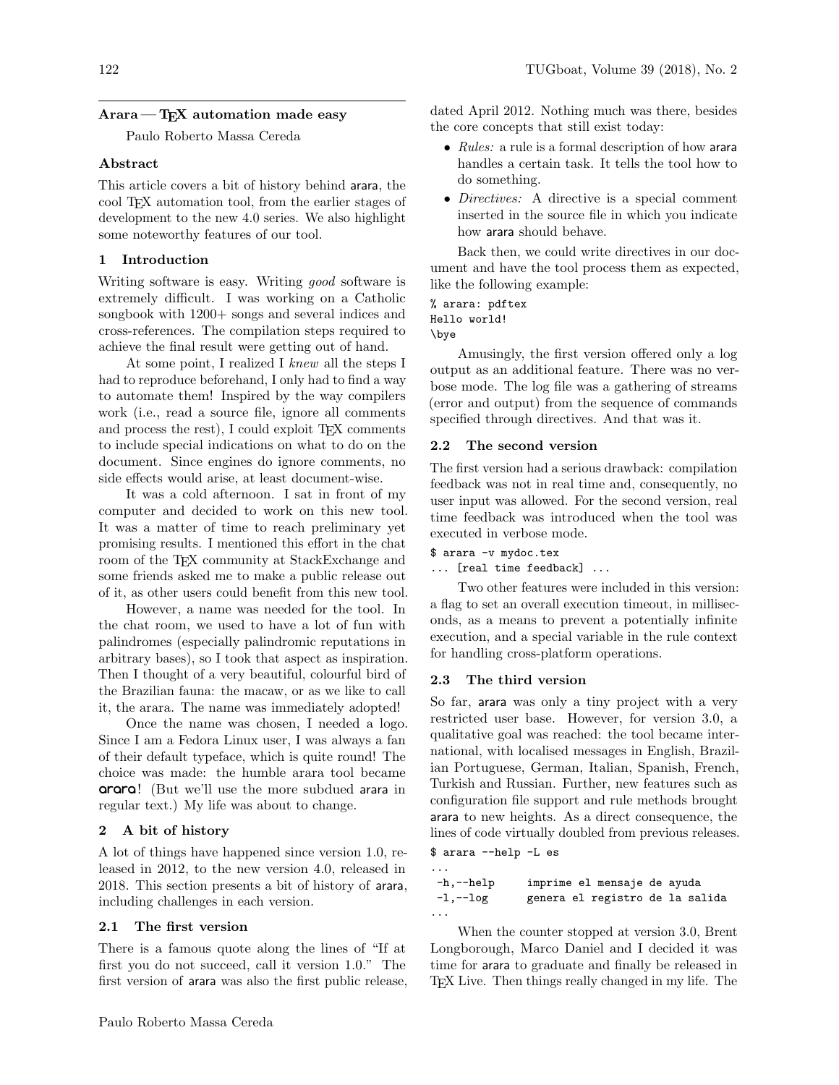# $\text{A}$ rara — T<sub>F</sub>X automation made easy

Paulo Roberto Massa Cereda

### Abstract

This article covers a bit of history behind arara, the cool TEX automation tool, from the earlier stages of development to the new 4.0 series. We also highlight some noteworthy features of our tool.

# 1 Introduction

Writing software is easy. Writing *good* software is extremely difficult. I was working on a Catholic songbook with 1200+ songs and several indices and cross-references. The compilation steps required to achieve the final result were getting out of hand.

At some point, I realized I knew all the steps I had to reproduce beforehand, I only had to find a way to automate them! Inspired by the way compilers work (i.e., read a source file, ignore all comments and process the rest), I could exploit T<sub>E</sub>X comments to include special indications on what to do on the document. Since engines do ignore comments, no side effects would arise, at least document-wise.

It was a cold afternoon. I sat in front of my computer and decided to work on this new tool. It was a matter of time to reach preliminary yet promising results. I mentioned this effort in the chat room of the T<sub>F</sub>X community at StackExchange and some friends asked me to make a public release out of it, as other users could benefit from this new tool.

However, a name was needed for the tool. In the chat room, we used to have a lot of fun with palindromes (especially palindromic reputations in arbitrary bases), so I took that aspect as inspiration. Then I thought of a very beautiful, colourful bird of the Brazilian fauna: the macaw, or as we like to call it, the arara. The name was immediately adopted!

Once the name was chosen, I needed a logo. Since I am a Fedora Linux user, I was always a fan of their default typeface, which is quite round! The choice was made: the humble arara tool became **arara**! (But we'll use the more subdued arara in regular text.) My life was about to change.

#### 2 A bit of history

A lot of things have happened since version 1.0, released in 2012, to the new version 4.0, released in 2018. This section presents a bit of history of arara, including challenges in each version.

# 2.1 The first version

There is a famous quote along the lines of "If at first you do not succeed, call it version 1.0." The first version of arara was also the first public release, dated April 2012. Nothing much was there, besides the core concepts that still exist today:

- Rules: a rule is a formal description of how arara handles a certain task. It tells the tool how to do something.
- *Directives:* A directive is a special comment inserted in the source file in which you indicate how arara should behave.

Back then, we could write directives in our document and have the tool process them as expected, like the following example:

% arara: pdftex Hello world! \bye

Amusingly, the first version offered only a log output as an additional feature. There was no verbose mode. The log file was a gathering of streams (error and output) from the sequence of commands specified through directives. And that was it.

## 2.2 The second version

The first version had a serious drawback: compilation feedback was not in real time and, consequently, no user input was allowed. For the second version, real time feedback was introduced when the tool was executed in verbose mode.

\$ arara -v mydoc.tex

... [real time feedback] ...

Two other features were included in this version: a flag to set an overall execution timeout, in milliseconds, as a means to prevent a potentially infinite execution, and a special variable in the rule context for handling cross-platform operations.

#### 2.3 The third version

So far, arara was only a tiny project with a very restricted user base. However, for version 3.0, a qualitative goal was reached: the tool became international, with localised messages in English, Brazilian Portuguese, German, Italian, Spanish, French, Turkish and Russian. Further, new features such as configuration file support and rule methods brought arara to new heights. As a direct consequence, the lines of code virtually doubled from previous releases.

```
$ arara --help -L es
...
-h,--help imprime el mensaje de ayuda
-l,--log genera el registro de la salida
...
```
When the counter stopped at version 3.0, Brent Longborough, Marco Daniel and I decided it was time for arara to graduate and finally be released in TEX Live. Then things really changed in my life. The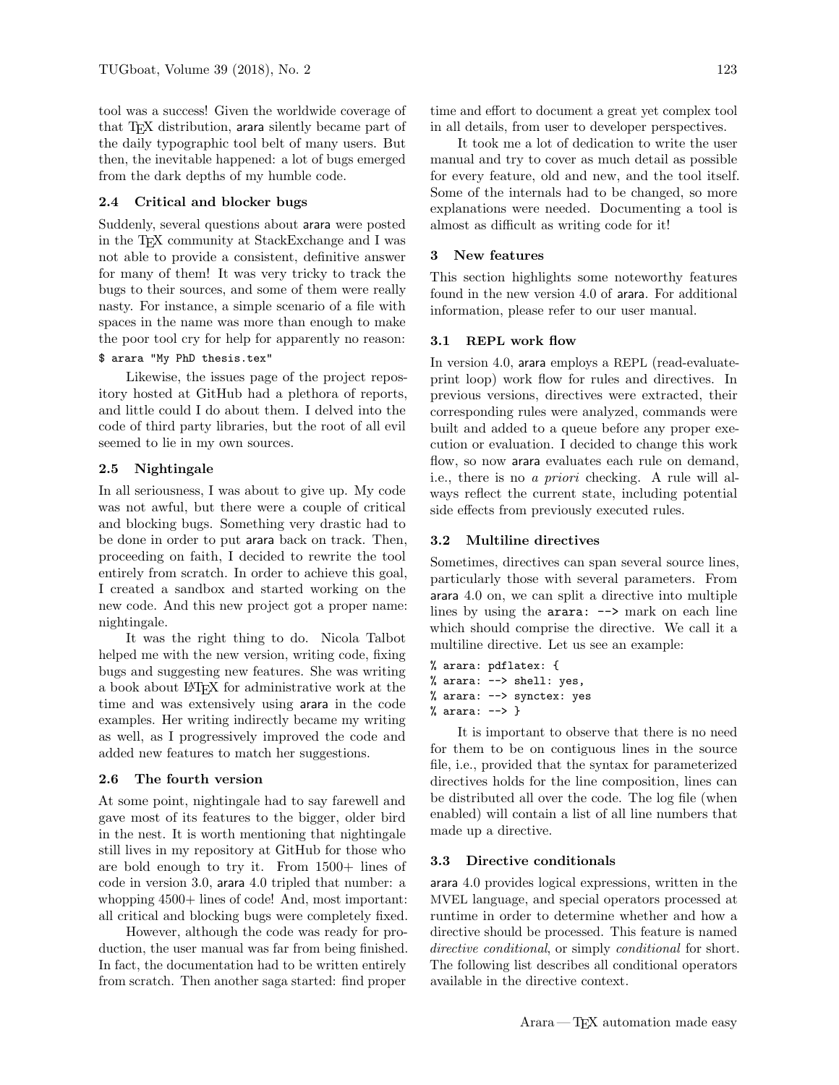tool was a success! Given the worldwide coverage of that T<sub>E</sub>X distribution, arara silently became part of the daily typographic tool belt of many users. But then, the inevitable happened: a lot of bugs emerged from the dark depths of my humble code.

# 2.4 Critical and blocker bugs

Suddenly, several questions about arara were posted in the TEX community at StackExchange and I was not able to provide a consistent, definitive answer for many of them! It was very tricky to track the bugs to their sources, and some of them were really nasty. For instance, a simple scenario of a file with spaces in the name was more than enough to make the poor tool cry for help for apparently no reason:

## \$ arara "My PhD thesis.tex"

Likewise, the issues page of the project repository hosted at GitHub had a plethora of reports, and little could I do about them. I delved into the code of third party libraries, but the root of all evil seemed to lie in my own sources.

## 2.5 Nightingale

In all seriousness, I was about to give up. My code was not awful, but there were a couple of critical and blocking bugs. Something very drastic had to be done in order to put arara back on track. Then, proceeding on faith, I decided to rewrite the tool entirely from scratch. In order to achieve this goal, I created a sandbox and started working on the new code. And this new project got a proper name: nightingale.

It was the right thing to do. Nicola Talbot helped me with the new version, writing code, fixing bugs and suggesting new features. She was writing a book about LATEX for administrative work at the time and was extensively using arara in the code examples. Her writing indirectly became my writing as well, as I progressively improved the code and added new features to match her suggestions.

### 2.6 The fourth version

At some point, nightingale had to say farewell and gave most of its features to the bigger, older bird in the nest. It is worth mentioning that nightingale still lives in my repository at GitHub for those who are bold enough to try it. From 1500+ lines of code in version 3.0, arara 4.0 tripled that number: a whopping 4500+ lines of code! And, most important: all critical and blocking bugs were completely fixed.

However, although the code was ready for production, the user manual was far from being finished. In fact, the documentation had to be written entirely from scratch. Then another saga started: find proper

It took me a lot of dedication to write the user manual and try to cover as much detail as possible for every feature, old and new, and the tool itself. Some of the internals had to be changed, so more explanations were needed. Documenting a tool is almost as difficult as writing code for it!

## 3 New features

This section highlights some noteworthy features found in the new version 4.0 of arara. For additional information, please refer to our user manual.

# 3.1 REPL work flow

In version 4.0, arara employs a REPL (read-evaluateprint loop) work flow for rules and directives. In previous versions, directives were extracted, their corresponding rules were analyzed, commands were built and added to a queue before any proper execution or evaluation. I decided to change this work flow, so now arara evaluates each rule on demand, i.e., there is no a priori checking. A rule will always reflect the current state, including potential side effects from previously executed rules.

# 3.2 Multiline directives

Sometimes, directives can span several source lines, particularly those with several parameters. From arara 4.0 on, we can split a directive into multiple lines by using the arara:  $\rightarrow$  mark on each line which should comprise the directive. We call it a multiline directive. Let us see an example:

```
% arara: pdflatex: {
% arara: --> shell: yes,
% arara: --> synctex: yes
% arara: --> }
```
It is important to observe that there is no need for them to be on contiguous lines in the source file, i.e., provided that the syntax for parameterized directives holds for the line composition, lines can be distributed all over the code. The log file (when enabled) will contain a list of all line numbers that made up a directive.

## 3.3 Directive conditionals

arara 4.0 provides logical expressions, written in the MVEL language, and special operators processed at runtime in order to determine whether and how a directive should be processed. This feature is named directive conditional, or simply conditional for short. The following list describes all conditional operators available in the directive context.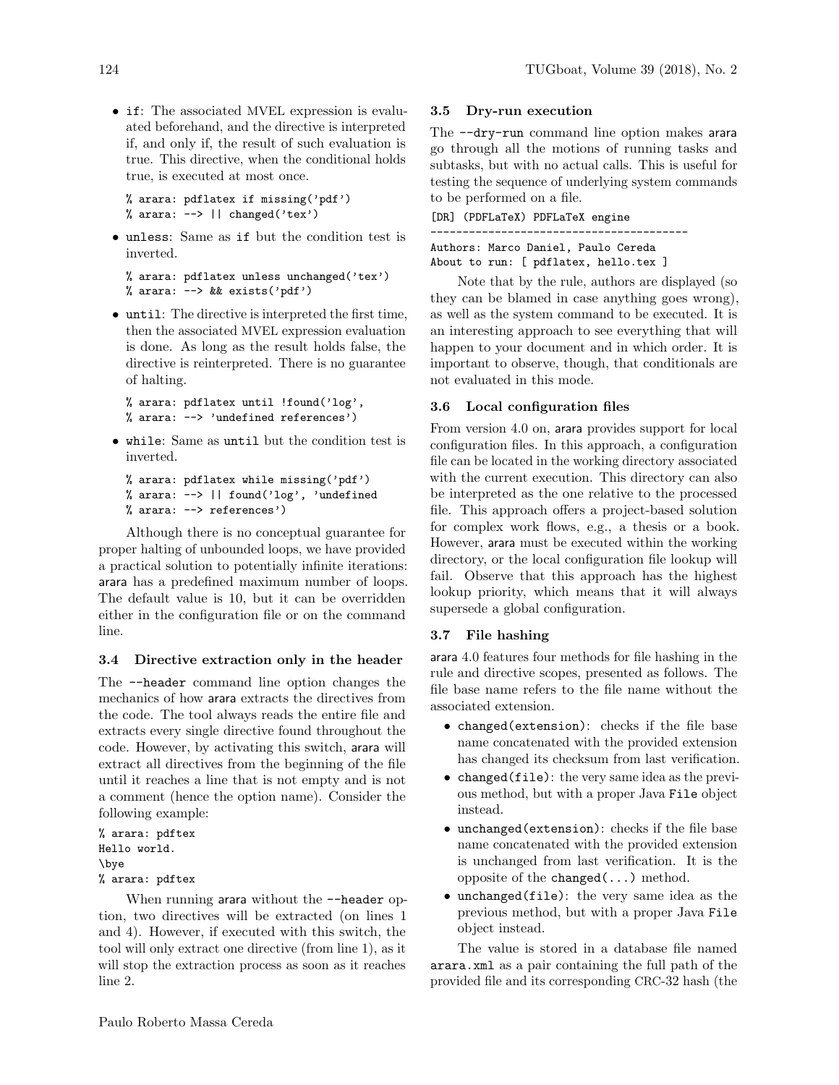• if: The associated MVEL expression is evaluated beforehand, and the directive is interpreted if, and only if, the result of such evaluation is true. This directive, when the conditional holds true, is executed at most once.

```
% arara: pdflatex if missing('pdf')
% arara: \rightarrow || changed('tex')
```
• unless: Same as if but the condition test is inverted.

```
% arara: pdflatex unless unchanged('tex')
% arara: --> && exists('pdf')
```
• until: The directive is interpreted the first time, then the associated MVEL expression evaluation is done. As long as the result holds false, the directive is reinterpreted. There is no guarantee of halting.

```
% arara: pdflatex until !found('log',
% arara: --> 'undefined references')
```
• while: Same as until but the condition test is inverted.

```
% arara: pdflatex while missing('pdf')
% arara: --> || found('log', 'undefined
% arara: --> references')
```
Although there is no conceptual guarantee for proper halting of unbounded loops, we have provided a practical solution to potentially infinite iterations: arara has a predefined maximum number of loops. The default value is 10, but it can be overridden either in the configuration file or on the command line.

# 3.4 Directive extraction only in the header

The --header command line option changes the mechanics of how arara extracts the directives from the code. The tool always reads the entire file and extracts every single directive found throughout the code. However, by activating this switch, arara will extract all directives from the beginning of the file until it reaches a line that is not empty and is not a comment (hence the option name). Consider the following example:

% arara: pdftex Hello world. \bye % arara: pdftex

When running arara without the  $-$ -header option, two directives will be extracted (on lines 1 and 4). However, if executed with this switch, the tool will only extract one directive (from line 1), as it will stop the extraction process as soon as it reaches line 2.

# 3.5 Dry-run execution

The --dry-run command line option makes arara go through all the motions of running tasks and subtasks, but with no actual calls. This is useful for testing the sequence of underlying system commands to be performed on a file.

[DR] (PDFLaTeX) PDFLaTeX engine ---------------------------------------- Authors: Marco Daniel, Paulo Cereda About to run: [ pdflatex, hello.tex ]

Note that by the rule, authors are displayed (so they can be blamed in case anything goes wrong), as well as the system command to be executed. It is an interesting approach to see everything that will happen to your document and in which order. It is important to observe, though, that conditionals are not evaluated in this mode.

## 3.6 Local configuration files

From version 4.0 on, arara provides support for local configuration files. In this approach, a configuration file can be located in the working directory associated with the current execution. This directory can also be interpreted as the one relative to the processed file. This approach offers a project-based solution for complex work flows, e.g., a thesis or a book. However, arara must be executed within the working directory, or the local configuration file lookup will fail. Observe that this approach has the highest lookup priority, which means that it will always supersede a global configuration.

### 3.7 File hashing

arara 4.0 features four methods for file hashing in the rule and directive scopes, presented as follows. The file base name refers to the file name without the associated extension.

- changed(extension): checks if the file base name concatenated with the provided extension has changed its checksum from last verification.
- changed(file): the very same idea as the previous method, but with a proper Java File object instead.
- unchanged(extension): checks if the file base name concatenated with the provided extension is unchanged from last verification. It is the opposite of the changed $(\ldots)$  method.
- unchanged(file): the very same idea as the previous method, but with a proper Java File object instead.

The value is stored in a database file named arara.xml as a pair containing the full path of the provided file and its corresponding CRC-32 hash (the